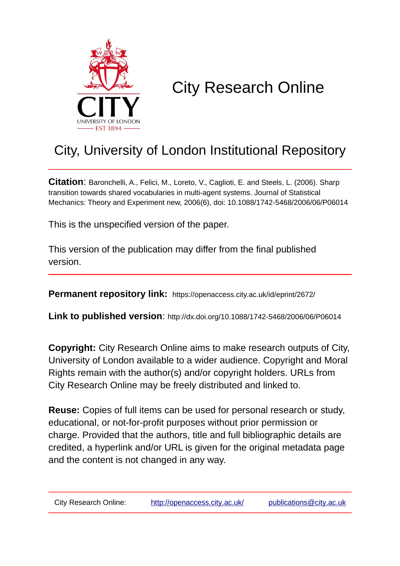

# City Research Online

# City, University of London Institutional Repository

**Citation**: Baronchelli, A., Felici, M., Loreto, V., Caglioti, E. and Steels, L. (2006). Sharp transition towards shared vocabularies in multi-agent systems. Journal of Statistical Mechanics: Theory and Experiment new, 2006(6), doi: 10.1088/1742-5468/2006/06/P06014

This is the unspecified version of the paper.

This version of the publication may differ from the final published version.

**Permanent repository link:** https://openaccess.city.ac.uk/id/eprint/2672/

**Link to published version**: http://dx.doi.org/10.1088/1742-5468/2006/06/P06014

**Copyright:** City Research Online aims to make research outputs of City, University of London available to a wider audience. Copyright and Moral Rights remain with the author(s) and/or copyright holders. URLs from City Research Online may be freely distributed and linked to.

**Reuse:** Copies of full items can be used for personal research or study, educational, or not-for-profit purposes without prior permission or charge. Provided that the authors, title and full bibliographic details are credited, a hyperlink and/or URL is given for the original metadata page and the content is not changed in any way.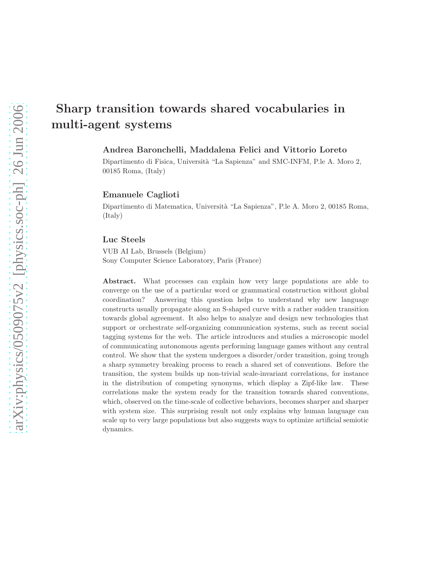# Sharp transition towards shared vocabularies in multi-agent systems

# Andrea Baronchelli, Maddalena Felici and Vittorio Loreto

Dipartimento di Fisica, Università "La Sapienza" and SMC-INFM, P.le A. Moro 2, 00185 Roma, (Italy)

# Emanuele Caglioti

Dipartimento di Matematica, Universit`a "La Sapienza", P.le A. Moro 2, 00185 Roma, (Italy)

## Luc Steels

VUB AI Lab, Brussels (Belgium) Sony Computer Science Laboratory, Paris (France)

Abstract. What processes can explain how very large populations are able to converge on the use of a particular word or grammatical construction without global coordination? Answering this question helps to understand why new language constructs usually propagate along an S-shaped curve with a rather sudden transition towards global agreement. It also helps to analyze and design new technologies that support or orchestrate self-organizing communication systems, such as recent social tagging systems for the web. The article introduces and studies a microscopic model of communicating autonomous agents performing language games without any central control. We show that the system undergoes a disorder/order transition, going trough a sharp symmetry breaking process to reach a shared set of conventions. Before the transition, the system builds up non-trivial scale-invariant correlations, for instance in the distribution of competing synonyms, which display a Zipf-like law. These correlations make the system ready for the transition towards shared conventions, which, observed on the time-scale of collective behaviors, becomes sharper and sharper with system size. This surprising result not only explains why human language can scale up to very large populations but also suggests ways to optimize artificial semiotic dynamics.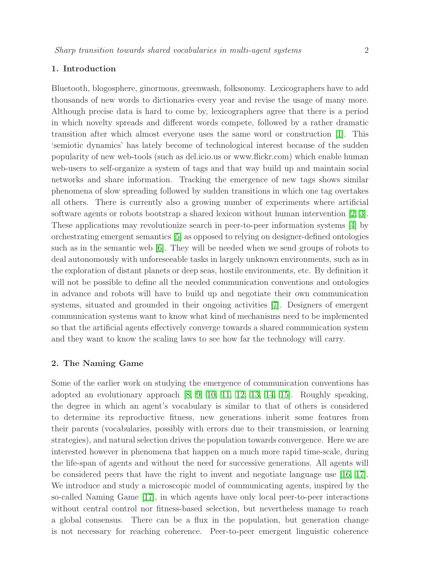# 1. Introduction

Bluetooth, blogosphere, ginormous, greenwash, folksonomy. Lexicographers have to add thousands of new words to dictionaries every year and revise the usage of many more. Although precise data is hard to come by, lexicographers agree that there is a period in which novelty spreads and different words compete, followed by a rather dramatic transition after which almost everyone uses the same word or construction [\[1\]](#page-11-0). This 'semiotic dynamics' has lately become of technological interest because of the sudden popularity of new web-tools (such as del.icio.us or www.flickr.com) which enable human web-users to self-organize a system of tags and that way build up and maintain social networks and share information. Tracking the emergence of new tags shows similar phenomena of slow spreading followed by sudden transitions in which one tag overtakes all others. There is currently also a growing number of experiments where artificial software agents or robots bootstrap a shared lexicon without human intervention [\[2,](#page-11-1) [3\]](#page-11-2). These applications may revolutionize search in peer-to-peer information systems [\[4\]](#page-11-3) by orchestrating emergent semantics [\[5\]](#page-11-4) as opposed to relying on designer-defined ontologies such as in the semantic web [\[6\]](#page-11-5). They will be needed when we send groups of robots to deal autonomously with unforeseeable tasks in largely unknown environments, such as in the exploration of distant planets or deep seas, hostile environments, etc. By definition it will not be possible to define all the needed communication conventions and ontologies in advance and robots will have to build up and negotiate their own communication systems, situated and grounded in their ongoing activities [\[7\]](#page-11-6). Designers of emergent communication systems want to know what kind of mechanisms need to be implemented so that the artificial agents effectively converge towards a shared communication system and they want to know the scaling laws to see how far the technology will carry.

### 2. The Naming Game

Some of the earlier work on studying the emergence of communication conventions has adopted an evolutionary approach [\[8,](#page-11-7) [9,](#page-11-8) [10,](#page-11-9) [11,](#page-11-10) [12,](#page-11-11) [13,](#page-11-12) [14,](#page-11-13) [15\]](#page-11-14). Roughly speaking, the degree in which an agent's vocabulary is similar to that of others is considered to determine its reproductive fitness, new generations inherit some features from their parents (vocabularies, possibly with errors due to their transmission, or learning strategies), and natural selection drives the population towards convergence. Here we are interested however in phenomena that happen on a much more rapid time-scale, during the life-span of agents and without the need for successive generations. All agents will be considered peers that have the right to invent and negotiate language use [\[16,](#page-11-15) [17\]](#page-11-16). We introduce and study a microscopic model of communicating agents, inspired by the so-called Naming Game [\[17\]](#page-11-16), in which agents have only local peer-to-peer interactions without central control nor fitness-based selection, but nevertheless manage to reach a global consensus. There can be a flux in the population, but generation change is not necessary for reaching coherence. Peer-to-peer emergent linguistic coherence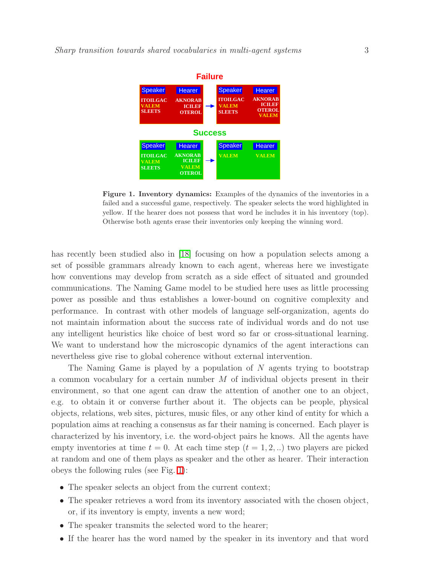

<span id="page-3-0"></span>Figure 1. Inventory dynamics: Examples of the dynamics of the inventories in a failed and a successful game, respectively. The speaker selects the word highlighted in yellow. If the hearer does not possess that word he includes it in his inventory (top). Otherwise both agents erase their inventories only keeping the winning word.

has recently been studied also in [\[18\]](#page-11-17) focusing on how a population selects among a set of possible grammars already known to each agent, whereas here we investigate how conventions may develop from scratch as a side effect of situated and grounded communications. The Naming Game model to be studied here uses as little processing power as possible and thus establishes a lower-bound on cognitive complexity and performance. In contrast with other models of language self-organization, agents do not maintain information about the success rate of individual words and do not use any intelligent heuristics like choice of best word so far or cross-situational learning. We want to understand how the microscopic dynamics of the agent interactions can nevertheless give rise to global coherence without external intervention.

The Naming Game is played by a population of  $N$  agents trying to bootstrap a common vocabulary for a certain number  $M$  of individual objects present in their environment, so that one agent can draw the attention of another one to an object, e.g. to obtain it or converse further about it. The objects can be people, physical objects, relations, web sites, pictures, music files, or any other kind of entity for which a population aims at reaching a consensus as far their naming is concerned. Each player is characterized by his inventory, i.e. the word-object pairs he knows. All the agents have empty inventories at time  $t = 0$ . At each time step  $(t = 1, 2, ...)$  two players are picked at random and one of them plays as speaker and the other as hearer. Their interaction obeys the following rules (see Fig. [1\)](#page-3-0):

- The speaker selects an object from the current context;
- The speaker retrieves a word from its inventory associated with the chosen object, or, if its inventory is empty, invents a new word;
- The speaker transmits the selected word to the hearer;
- If the hearer has the word named by the speaker in its inventory and that word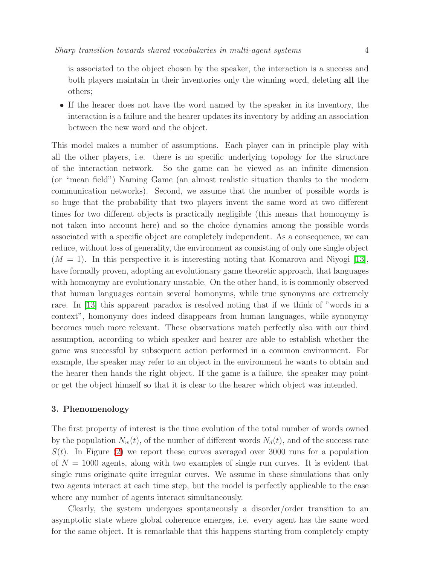is associated to the object chosen by the speaker, the interaction is a success and both players maintain in their inventories only the winning word, deleting all the others;

• If the hearer does not have the word named by the speaker in its inventory, the interaction is a failure and the hearer updates its inventory by adding an association between the new word and the object.

This model makes a number of assumptions. Each player can in principle play with all the other players, i.e. there is no specific underlying topology for the structure of the interaction network. So the game can be viewed as an infinite dimension (or "mean field") Naming Game (an almost realistic situation thanks to the modern communication networks). Second, we assume that the number of possible words is so huge that the probability that two players invent the same word at two different times for two different objects is practically negligible (this means that homonymy is not taken into account here) and so the choice dynamics among the possible words associated with a specific object are completely independent. As a consequence, we can reduce, without loss of generality, the environment as consisting of only one single object  $(M = 1)$ . In this perspective it is interesting noting that Komarova and Niyogi [\[13\]](#page-11-12), have formally proven, adopting an evolutionary game theoretic approach, that languages with homonymy are evolutionary unstable. On the other hand, it is commonly observed that human languages contain several homonyms, while true synonyms are extremely rare. In [\[13\]](#page-11-12) this apparent paradox is resolved noting that if we think of "words in a context", homonymy does indeed disappears from human languages, while synonymy becomes much more relevant. These observations match perfectly also with our third assumption, according to which speaker and hearer are able to establish whether the game was successful by subsequent action performed in a common environment. For example, the speaker may refer to an object in the environment he wants to obtain and the hearer then hands the right object. If the game is a failure, the speaker may point or get the object himself so that it is clear to the hearer which object was intended.

### 3. Phenomenology

The first property of interest is the time evolution of the total number of words owned by the population  $N_w(t)$ , of the number of different words  $N_d(t)$ , and of the success rate  $S(t)$ . In Figure [\(2\)](#page-5-0) we report these curves averaged over 3000 runs for a population of  $N = 1000$  agents, along with two examples of single run curves. It is evident that single runs originate quite irregular curves. We assume in these simulations that only two agents interact at each time step, but the model is perfectly applicable to the case where any number of agents interact simultaneously.

Clearly, the system undergoes spontaneously a disorder/order transition to an asymptotic state where global coherence emerges, i.e. every agent has the same word for the same object. It is remarkable that this happens starting from completely empty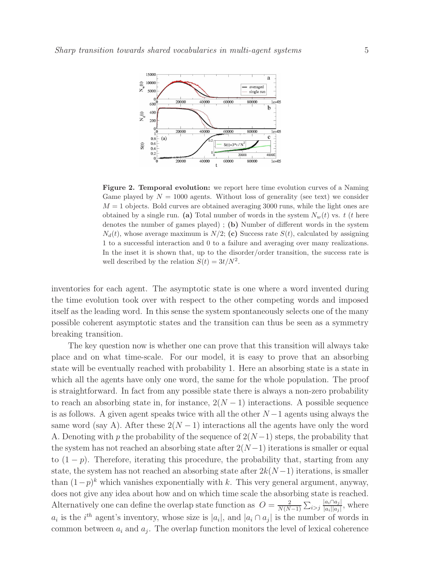

<span id="page-5-0"></span>Figure 2. Temporal evolution: we report here time evolution curves of a Naming Game played by  $N = 1000$  agents. Without loss of generality (see text) we consider  $M = 1$  objects. Bold curves are obtained averaging 3000 runs, while the light ones are obtained by a single run. (a) Total number of words in the system  $N_w(t)$  vs. t (t here denotes the number of games played) ; (b) Number of different words in the system  $N_d(t)$ , whose average maximum is  $N/2$ ; (c) Success rate  $S(t)$ , calculated by assigning 1 to a successful interaction and 0 to a failure and averaging over many realizations. In the inset it is shown that, up to the disorder/order transition, the success rate is well described by the relation  $S(t) = 3t/N^2$ .

inventories for each agent. The asymptotic state is one where a word invented during the time evolution took over with respect to the other competing words and imposed itself as the leading word. In this sense the system spontaneously selects one of the many possible coherent asymptotic states and the transition can thus be seen as a symmetry breaking transition.

The key question now is whether one can prove that this transition will always take place and on what time-scale. For our model, it is easy to prove that an absorbing state will be eventually reached with probability 1. Here an absorbing state is a state in which all the agents have only one word, the same for the whole population. The proof is straightforward. In fact from any possible state there is always a non-zero probability to reach an absorbing state in, for instance,  $2(N-1)$  interactions. A possible sequence is as follows. A given agent speaks twice with all the other  $N-1$  agents using always the same word (say A). After these  $2(N-1)$  interactions all the agents have only the word A. Denoting with p the probability of the sequence of  $2(N-1)$  steps, the probability that the system has not reached an absorbing state after  $2(N-1)$  iterations is smaller or equal to  $(1-p)$ . Therefore, iterating this procedure, the probability that, starting from any state, the system has not reached an absorbing state after  $2k(N-1)$  iterations, is smaller than  $(1-p)^k$  which vanishes exponentially with k. This very general argument, anyway, does not give any idea about how and on which time scale the absorbing state is reached. Alternatively one can define the overlap state function as  $Q = \frac{2}{N(N)}$  $\frac{2}{N(N-1)}\sum_{i>j}\frac{|a_i\cap a_j|}{|a_i||a_j|}$  $\frac{|a_i||a_j|}{|a_i||a_j|}$ , where  $a_i$  is the  $i^{th}$  agent's inventory, whose size is  $|a_i|$ , and  $|a_i \cap a_j|$  is the number of words in common between  $a_i$  and  $a_j$ . The overlap function monitors the level of lexical coherence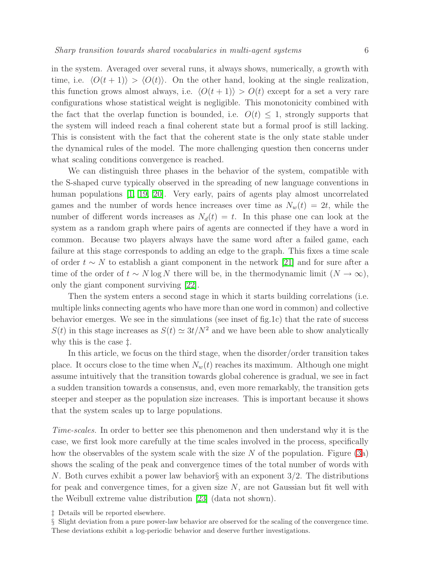in the system. Averaged over several runs, it always shows, numerically, a growth with time, i.e.  $\langle O(t + 1)\rangle > \langle O(t)\rangle$ . On the other hand, looking at the single realization, this function grows almost always, i.e.  $\langle O(t + 1) \rangle > O(t)$  except for a set a very rare configurations whose statistical weight is negligible. This monotonicity combined with the fact that the overlap function is bounded, i.e.  $O(t) \leq 1$ , strongly supports that the system will indeed reach a final coherent state but a formal proof is still lacking. This is consistent with the fact that the coherent state is the only state stable under the dynamical rules of the model. The more challenging question then concerns under what scaling conditions convergence is reached.

We can distinguish three phases in the behavior of the system, compatible with the S-shaped curve typically observed in the spreading of new language conventions in human populations [\[1,](#page-11-0) [19,](#page-11-18) [20\]](#page-11-19). Very early, pairs of agents play almost uncorrelated games and the number of words hence increases over time as  $N_w(t) = 2t$ , while the number of different words increases as  $N_d(t) = t$ . In this phase one can look at the system as a random graph where pairs of agents are connected if they have a word in common. Because two players always have the same word after a failed game, each failure at this stage corresponds to adding an edge to the graph. This fixes a time scale of order  $t \sim N$  to establish a giant component in the network [\[21\]](#page-12-0) and for sure after a time of the order of  $t \sim N \log N$  there will be, in the thermodynamic limit  $(N \to \infty)$ , only the giant component surviving [\[22\]](#page-12-1).

Then the system enters a second stage in which it starts building correlations (i.e. multiple links connecting agents who have more than one word in common) and collective behavior emerges. We see in the simulations (see inset of fig.1c) that the rate of success  $S(t)$  in this stage increases as  $S(t) \simeq 3t/N^2$  and we have been able to show analytically why this is the case ‡.

In this article, we focus on the third stage, when the disorder/order transition takes place. It occurs close to the time when  $N_w(t)$  reaches its maximum. Although one might assume intuitively that the transition towards global coherence is gradual, we see in fact a sudden transition towards a consensus, and, even more remarkably, the transition gets steeper and steeper as the population size increases. This is important because it shows that the system scales up to large populations.

Time-scales. In order to better see this phenomenon and then understand why it is the case, we first look more carefully at the time scales involved in the process, specifically how the observables of the system scale with the size  $N$  of the population. Figure [\(3a](#page-7-0)) shows the scaling of the peak and convergence times of the total number of words with N. Both curves exhibit a power law behavior§ with an exponent 3/2. The distributions for peak and convergence times, for a given size  $N$ , are not Gaussian but fit well with the Weibull extreme value distribution [\[23\]](#page-12-2) (data not shown).

‡ Details will be reported elsewhere.

§ Slight deviation from a pure power-law behavior are observed for the scaling of the convergence time. These deviations exhibit a log-periodic behavior and deserve further investigations.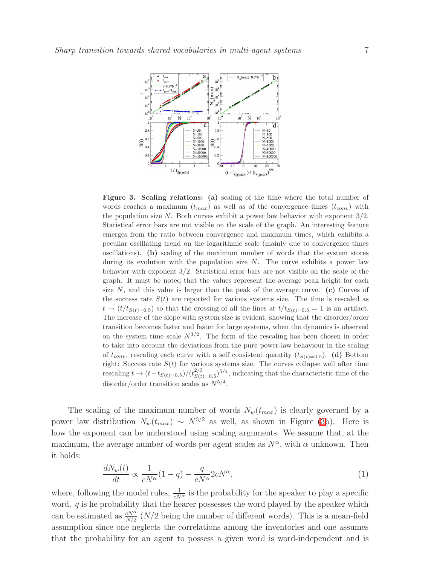

<span id="page-7-0"></span>Figure 3. Scaling relations: (a) scaling of the time where the total number of words reaches a maximum  $(t_{max})$  as well as of the convergence times  $(t_{conv})$  with the population size  $N$ . Both curves exhibit a power law behavior with exponent  $3/2$ . Statistical error bars are not visible on the scale of the graph. An interesting feature emerges from the ratio between convergence and maximum times, which exhibits a peculiar oscillating trend on the logarithmic scale (mainly due to convergence times oscillations). (b) scaling of the maximum number of words that the system stores during its evolution with the population size  $N$ . The curve exhibits a power law behavior with exponent 3/2. Statistical error bars are not visible on the scale of the graph. It must be noted that the values represent the average peak height for each size  $N$ , and this value is larger than the peak of the average curve. (c) Curves of the success rate  $S(t)$  are reported for various systems size. The time is rescaled as  $t \rightarrow (t/t_{S(t)=0.5})$  so that the crossing of all the lines at  $t/t_{S(t)=0.5} = 1$  is an artifact. The increase of the slope with system size is evident, showing that the disorder/order transition becomes faster and faster for large systems, when the dynamics is observed on the system time scale  $N^{3/2}$ . The form of the rescaling has been chosen in order to take into account the deviations from the pure power-law behaviour in the scaling of  $t_{conv}$ , rescaling each curve with a self consistent quantity  $(t_{S(t)=0.5})$ . (d) Bottom right: Success rate  $S(t)$  for various systems size. The curves collapse well after time rescaling  $t \to (t - t_{S(t)=0.5})/(t_{S(t}^{2/3}))$  $S(t)=0.5$ <sup>5/4</sup>, indicating that the characteristic time of the disorder/order transition scales as  $N^{5/4}$ .

The scaling of the maximum number of words  $N_w(t_{max})$  is clearly governed by a power law distribution  $N_w(t_{max}) \sim N^{3/2}$  as well, as shown in Figure [\(3b](#page-7-0)). Here is how the exponent can be understood using scaling arguments. We assume that, at the maximum, the average number of words per agent scales as  $N^{\alpha}$ , with  $\alpha$  unknown. Then it holds:

$$
\frac{dN_w(t)}{dt} \propto \frac{1}{cN^{\alpha}}(1-q) - \frac{q}{cN^{\alpha}}2cN^{\alpha},\tag{1}
$$

where, following the model rules,  $\frac{1}{cN^{\alpha}}$  is the probability for the speaker to play a specific word.  $q$  is he probability that the hearer possesses the word played by the speaker which can be estimated as  $\frac{cN^{\alpha}}{N/2}$  (*N*/2 being the number of different words). This is a mean-field assumption since one neglects the correlations among the inventories and one assumes that the probability for an agent to possess a given word is word-independent and is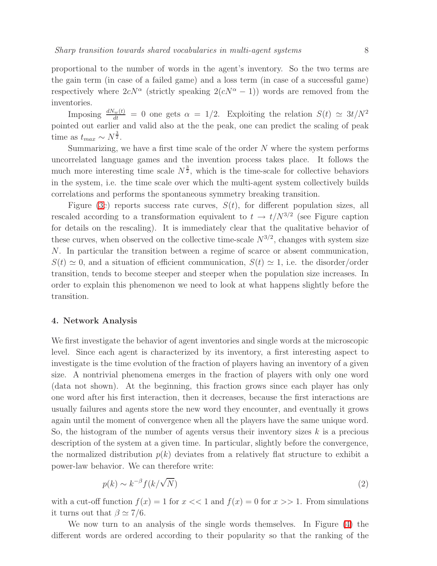proportional to the number of words in the agent's inventory. So the two terms are the gain term (in case of a failed game) and a loss term (in case of a successful game) respectively where  $2cN^{\alpha}$  (strictly speaking  $2(cN^{\alpha}-1)$ ) words are removed from the inventories.

Imposing  $\frac{dN_w(t)}{dt} = 0$  one gets  $\alpha = 1/2$ . Exploiting the relation  $S(t) \simeq 3t/N^2$ pointed out earlier and valid also at the the peak, one can predict the scaling of peak time as  $t_{max} \sim N^{\frac{3}{2}}$ .

Summarizing, we have a first time scale of the order  $N$  where the system performs uncorrelated language games and the invention process takes place. It follows the much more interesting time scale  $N^{\frac{3}{2}}$ , which is the time-scale for collective behaviors in the system, i.e. the time scale over which the multi-agent system collectively builds correlations and performs the spontaneous symmetry breaking transition.

Figure [\(3c](#page-7-0)) reports success rate curves,  $S(t)$ , for different population sizes, all rescaled according to a transformation equivalent to  $t \to t/N^{3/2}$  (see Figure caption for details on the rescaling). It is immediately clear that the qualitative behavior of these curves, when observed on the collective time-scale  $N^{3/2}$ , changes with system size N. In particular the transition between a regime of scarce or absent communication,  $S(t) \simeq 0$ , and a situation of efficient communication,  $S(t) \simeq 1$ , i.e. the disorder/order transition, tends to become steeper and steeper when the population size increases. In order to explain this phenomenon we need to look at what happens slightly before the transition.

### 4. Network Analysis

We first investigate the behavior of agent inventories and single words at the microscopic level. Since each agent is characterized by its inventory, a first interesting aspect to investigate is the time evolution of the fraction of players having an inventory of a given size. A nontrivial phenomena emerges in the fraction of players with only one word (data not shown). At the beginning, this fraction grows since each player has only one word after his first interaction, then it decreases, because the first interactions are usually failures and agents store the new word they encounter, and eventually it grows again until the moment of convergence when all the players have the same unique word. So, the histogram of the number of agents versus their inventory sizes  $k$  is a precious description of the system at a given time. In particular, slightly before the convergence, the normalized distribution  $p(k)$  deviates from a relatively flat structure to exhibit a power-law behavior. We can therefore write:

$$
p(k) \sim k^{-\beta} f(k/\sqrt{N})
$$
\n(2)

<span id="page-8-0"></span>with a cut-off function  $f(x) = 1$  for  $x \ll 1$  and  $f(x) = 0$  for  $x \gg 1$ . From simulations it turns out that  $\beta \simeq 7/6$ .

We now turn to an analysis of the single words themselves. In Figure [\(4\)](#page-9-0) the different words are ordered according to their popularity so that the ranking of the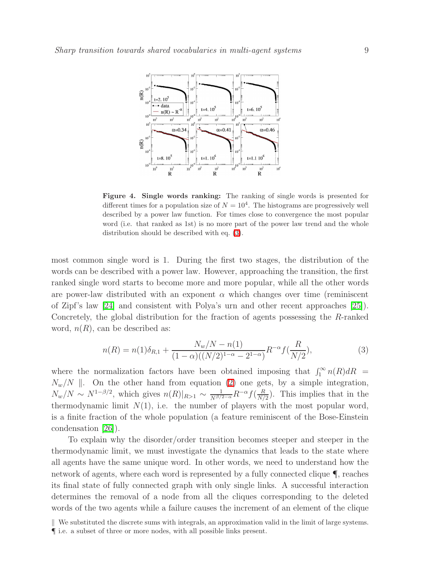

<span id="page-9-0"></span>Figure 4. Single words ranking: The ranking of single words is presented for different times for a population size of  $N = 10<sup>4</sup>$ . The histograms are progressively well described by a power law function. For times close to convergence the most popular word (i.e. that ranked as 1st) is no more part of the power law trend and the whole distribution should be described with eq. [\(3\)](#page-9-1).

most common single word is 1. During the first two stages, the distribution of the words can be described with a power law. However, approaching the transition, the first ranked single word starts to become more and more popular, while all the other words are power-law distributed with an exponent  $\alpha$  which changes over time (reminiscent of Zipf's law [\[24\]](#page-12-3) and consistent with Polya's urn and other recent approaches [\[25\]](#page-12-4)). Concretely, the global distribution for the fraction of agents possessing the R-ranked word,  $n(R)$ , can be described as:

$$
n(R) = n(1)\delta_{R,1} + \frac{N_w/N - n(1)}{(1 - \alpha)((N/2)^{1 - \alpha} - 2^{1 - \alpha})}R^{-\alpha}f(\frac{R}{N/2}),
$$
\n(3)

<span id="page-9-1"></span>where the normalization factors have been obtained imposing that  $\int_1^\infty n(R) dR$  =  $N_w/N$  |. On the other hand from equation [\(2\)](#page-8-0) one gets, by a simple integration,  $N_w/N \sim N^{1-\beta/2}$ , which gives  $n(R)|_{R>1} \sim \frac{1}{N^{\beta/2-\alpha}} R^{-\alpha} f(\frac{R}{N/\alpha})$  $\frac{R}{N/2}$ ). This implies that in the thermodynamic limit  $N(1)$ , i.e. the number of players with the most popular word, is a finite fraction of the whole population (a feature reminiscent of the Bose-Einstein condensation [\[26\]](#page-12-5)).

To explain why the disorder/order transition becomes steeper and steeper in the thermodynamic limit, we must investigate the dynamics that leads to the state where all agents have the same unique word. In other words, we need to understand how the network of agents, where each word is represented by a fully connected clique ¶, reaches its final state of fully connected graph with only single links. A successful interaction determines the removal of a node from all the cliques corresponding to the deleted words of the two agents while a failure causes the increment of an element of the clique

k We substituted the discrete sums with integrals, an approximation valid in the limit of large systems. ¶ i.e. a subset of three or more nodes, with all possible links present.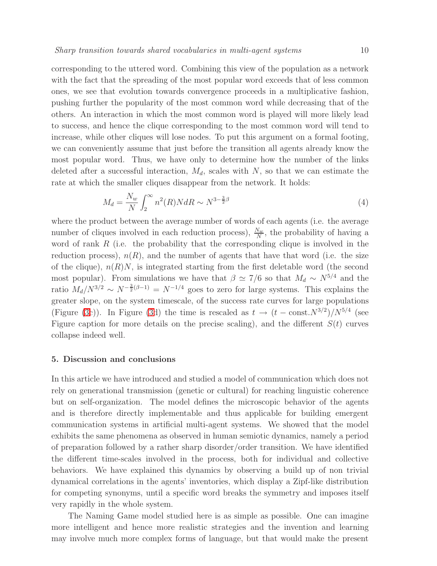corresponding to the uttered word. Combining this view of the population as a network with the fact that the spreading of the most popular word exceeds that of less common ones, we see that evolution towards convergence proceeds in a multiplicative fashion, pushing further the popularity of the most common word while decreasing that of the others. An interaction in which the most common word is played will more likely lead to success, and hence the clique corresponding to the most common word will tend to increase, while other cliques will lose nodes. To put this argument on a formal footing, we can conveniently assume that just before the transition all agents already know the most popular word. Thus, we have only to determine how the number of the links deleted after a successful interaction,  $M_d$ , scales with N, so that we can estimate the rate at which the smaller cliques disappear from the network. It holds:

$$
M_d = \frac{N_w}{N} \int_2^{\infty} n^2(R) N dR \sim N^{3 - \frac{3}{2}\beta} \tag{4}
$$

where the product between the average number of words of each agents (i.e. the average number of cliques involved in each reduction process),  $\frac{N_w}{N}$ , the probability of having a word of rank  $R$  (i.e. the probability that the corresponding clique is involved in the reduction process),  $n(R)$ , and the number of agents that have that word (i.e. the size of the clique),  $n(R)N$ , is integrated starting from the first deletable word (the second most popular). From simulations we have that  $\beta \simeq 7/6$  so that  $M_d \sim N^{5/4}$  and the ratio  $M_d/N^{3/2} \sim N^{-\frac{3}{2}(\beta-1)} = N^{-1/4}$  goes to zero for large systems. This explains the greater slope, on the system timescale, of the success rate curves for large populations (Figure [\(3c](#page-7-0))). In Figure [\(3d](#page-7-0)) the time is rescaled as  $t \to (t - \text{const.}N^{3/2})/N^{5/4}$  (see Figure caption for more details on the precise scaling), and the different  $S(t)$  curves collapse indeed well.

## 5. Discussion and conclusions

In this article we have introduced and studied a model of communication which does not rely on generational transmission (genetic or cultural) for reaching linguistic coherence but on self-organization. The model defines the microscopic behavior of the agents and is therefore directly implementable and thus applicable for building emergent communication systems in artificial multi-agent systems. We showed that the model exhibits the same phenomena as observed in human semiotic dynamics, namely a period of preparation followed by a rather sharp disorder/order transition. We have identified the different time-scales involved in the process, both for individual and collective behaviors. We have explained this dynamics by observing a build up of non trivial dynamical correlations in the agents' inventories, which display a Zipf-like distribution for competing synonyms, until a specific word breaks the symmetry and imposes itself very rapidly in the whole system.

The Naming Game model studied here is as simple as possible. One can imagine more intelligent and hence more realistic strategies and the invention and learning may involve much more complex forms of language, but that would make the present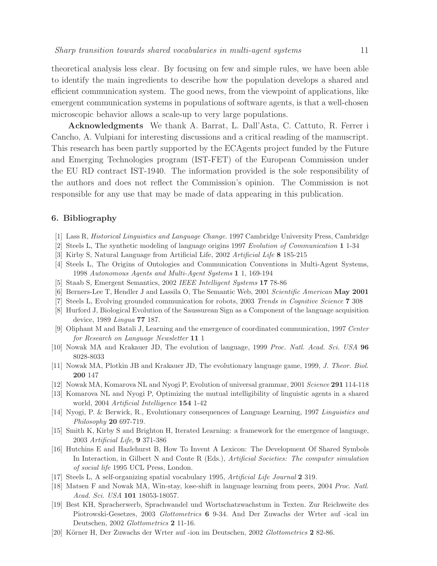theoretical analysis less clear. By focusing on few and simple rules, we have been able to identify the main ingredients to describe how the population develops a shared and efficient communication system. The good news, from the viewpoint of applications, like emergent communication systems in populations of software agents, is that a well-chosen microscopic behavior allows a scale-up to very large populations.

Acknowledgments We thank A. Barrat, L. Dall'Asta, C. Cattuto, R. Ferrer i Cancho, A. Vulpiani for interesting discussions and a critical reading of the manuscript. This research has been partly supported by the ECAgents project funded by the Future and Emerging Technologies program (IST-FET) of the European Commission under the EU RD contract IST-1940. The information provided is the sole responsibility of the authors and does not reflect the Commission's opinion. The Commission is not responsible for any use that may be made of data appearing in this publication.

# <span id="page-11-1"></span><span id="page-11-0"></span>6. Bibliography

- <span id="page-11-2"></span>[1] Lass R, *Historical Linguistics and Language Change.* 1997 Cambridge University Press, Cambridge
- [2] Steels L, The synthetic modeling of language origins 1997 *Evolution of Communication* 1 1-34
- <span id="page-11-3"></span>[3] Kirby S, Natural Language from Artificial Life, 2002 *Artificial Life* 8 185-215
- <span id="page-11-4"></span>[4] Steels L, The Origins of Ontologies and Communication Conventions in Multi-Agent Systems, 1998 *Autonomous Agents and Multi-Agent Systems* 1 1, 169-194
- <span id="page-11-5"></span>[5] Staab S, Emergent Semantics, 2002 *IEEE Intelligent Systems* 17 78-86
- <span id="page-11-6"></span>[6] Berners-Lee T, Hendler J and Lassila O, The Semantic Web, 2001 *Scientific American* May 2001
- <span id="page-11-7"></span>[7] Steels L, Evolving grounded communication for robots, 2003 *Trends in Cognitive Science* 7 308
- [8] Hurford J, Biological Evolution of the Saussurean Sign as a Component of the language acquisition device, 1989 *Lingua* 77 187.
- <span id="page-11-8"></span>[9] Oliphant M and Batali J, Learning and the emergence of coordinated communication, 1997 *Center for Research on Language Newsletter* 11 1
- <span id="page-11-9"></span>[10] Nowak MA and Krakauer JD, The evolution of language, 1999 *Proc. Natl. Acad. Sci. USA* 96 8028-8033
- <span id="page-11-11"></span><span id="page-11-10"></span>[11] Nowak MA, Plotkin JB and Krakauer JD, The evolutionary language game, 1999, *J. Theor. Biol.* 200 147
- <span id="page-11-12"></span>[12] Nowak MA, Komarova NL and Nyogi P, Evolution of universal grammar, 2001 *Science* 291 114-118
- <span id="page-11-13"></span>[13] Komarova NL and Nyogi P, Optimizing the mutual intelligibility of linguistic agents in a shared world, 2004 *Artificial Intelligence* 154 1-42
- [14] Nyogi, P. & Berwick, R., Evolutionary consequences of Language Learning, 1997 *Linguistics and Philosophy* 20 697-719.
- <span id="page-11-14"></span>[15] Smith K, Kirby S and Brighton H, Iterated Learning: a framework for the emergence of language, 2003 *Artificial Life*, 9 371-386
- <span id="page-11-15"></span>[16] Hutchins E and Hazlehurst B, How To Invent A Lexicon: The Development Of Shared Symbols In Interaction, in Gilbert N and Conte R (Eds.), *Artificial Societies: The computer simulation of social life* 1995 UCL Press, London.
- <span id="page-11-17"></span><span id="page-11-16"></span>[17] Steels L, A self-organizing spatial vocabulary 1995, *Artificial Life Journal* 2 319.
- <span id="page-11-18"></span>[18] Matsen F and Nowak MA, Win-stay, lose-shift in language learning from peers, 2004 *Proc. Natl. Acad. Sci. USA* 101 18053-18057.
- [19] Best KH, Spracherwerb, Sprachwandel und Wortschatzwachstum in Texten. Zur Reichweite des Piotrowski-Gesetzes, 2003 *Glottometrics* 6 9-34. And Der Zuwachs der Wrter auf -ical im Deutschen, 2002 *Glottometrics* 2 11-16.
- <span id="page-11-19"></span>[20] Körner H, Der Zuwachs der Wrter auf -ion im Deutschen, 2002 *Glottometrics* 2 82-86.